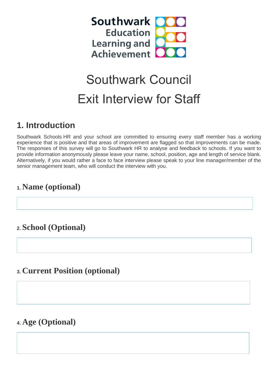

# Southwark Council Exit Interview for Staff

# **1. Introduction**

Southwark Schools HR and your school are committed to ensuring every staff member has a working experience that is positive and that areas of improvement are flagged so that improvements can be made. The responses of this survey will go to Southwark HR to analyse and feedback to schools. If you want to provide information anonymously please leave your name, school, position, age and length of service blank. Alternatively, if you would rather a face to face interview please speak to your line manager/member of the senior management team, who will conduct the interview with you.

# **1. Name (optional)**

# **2. School (Optional)**

#### **3. Current Position (optional)**

#### **4. Age (Optional)**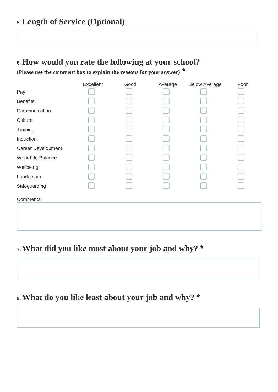## **5. Length of Service (Optional)**

#### **6. How would you rate the following at your school?**

**(Please use the comment box to explain the reasons for your answer) \***

|                    | Excellent | Good | Average | <b>Below Average</b> | Poor |
|--------------------|-----------|------|---------|----------------------|------|
| Pay                |           |      |         |                      |      |
| <b>Benefits</b>    |           |      |         |                      |      |
| Communication      |           |      |         |                      |      |
| Culture            |           |      |         |                      |      |
| Training           |           |      |         |                      |      |
| Induction          |           |      |         |                      |      |
| Career Development |           |      |         |                      |      |
| Work-Life Balance  |           |      |         |                      |      |
| Wellbeing          |           |      |         |                      |      |
| Leadership         |           |      |         |                      |      |
| Safeguarding       |           |      |         |                      |      |
| Comments:          |           |      |         |                      |      |
|                    |           |      |         |                      |      |
|                    |           |      |         |                      |      |

# **7. What did you like most about your job and why? \***

## **8. What do you like least about your job and why? \***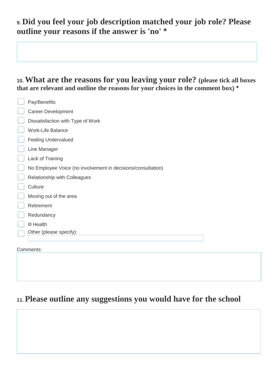# **9. Did you feel your job description matched your job role? Please outline your reasons if the answer is 'no' \***

#### **10. What are the reasons for you leaving your role? (please tick all boxes that are relevant and outline the reasons for your choices in the comment box) \***

| Pay/Benefits                                                 |  |  |  |
|--------------------------------------------------------------|--|--|--|
| <b>Career Development</b>                                    |  |  |  |
| Dissatisfaction with Type of Work                            |  |  |  |
| <b>Work-Life Balance</b>                                     |  |  |  |
| <b>Feeling Undervalued</b>                                   |  |  |  |
| Line Manager                                                 |  |  |  |
| Lack of Training                                             |  |  |  |
| No Employee Voice (no involvement in decisions/consultation) |  |  |  |
| Relationship with Colleagues                                 |  |  |  |
| Culture                                                      |  |  |  |
| Moving out of the area                                       |  |  |  |
| Retirement                                                   |  |  |  |
| Redundancy                                                   |  |  |  |
| III Health                                                   |  |  |  |
| Other (please specify):                                      |  |  |  |
| Comments:                                                    |  |  |  |

## **11. Please outline any suggestions you would have for the school**